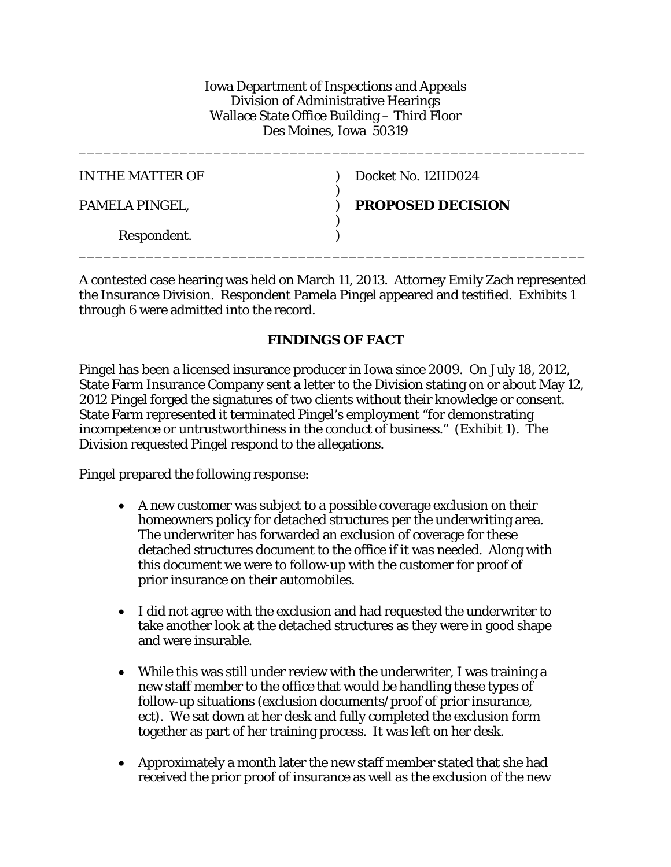Iowa Department of Inspections and Appeals Division of Administrative Hearings Wallace State Office Building – Third Floor Des Moines, Iowa 50319

\_\_\_\_\_\_\_\_\_\_\_\_\_\_\_\_\_\_\_\_\_\_\_\_\_\_\_\_\_\_\_\_\_\_\_\_\_\_\_\_\_\_\_\_\_\_\_\_\_\_\_\_\_\_\_\_\_\_\_\_

| IN THE MATTER OF | Docket No. 12IID024      |
|------------------|--------------------------|
| PAMELA PINGEL,   | <b>PROPOSED DECISION</b> |
| Respondent.      |                          |

A contested case hearing was held on March 11, 2013. Attorney Emily Zach represented the Insurance Division. Respondent Pamela Pingel appeared and testified. Exhibits 1 through 6 were admitted into the record.

#### **FINDINGS OF FACT**

Pingel has been a licensed insurance producer in Iowa since 2009. On July 18, 2012, State Farm Insurance Company sent a letter to the Division stating on or about May 12, 2012 Pingel forged the signatures of two clients without their knowledge or consent. State Farm represented it terminated Pingel's employment "for demonstrating incompetence or untrustworthiness in the conduct of business." (Exhibit 1). The Division requested Pingel respond to the allegations.

Pingel prepared the following response:

- A new customer was subject to a possible coverage exclusion on their homeowners policy for detached structures per the underwriting area. The underwriter has forwarded an exclusion of coverage for these detached structures document to the office if it was needed. Along with this document we were to follow-up with the customer for proof of prior insurance on their automobiles.
- I did not agree with the exclusion and had requested the underwriter to take another look at the detached structures as they were in good shape and were insurable.
- While this was still under review with the underwriter, I was training a new staff member to the office that would be handling these types of follow-up situations (exclusion documents/proof of prior insurance, ect). We sat down at her desk and fully completed the exclusion form together as part of her training process. It was left on her desk.
- Approximately a month later the new staff member stated that she had received the prior proof of insurance as well as the exclusion of the new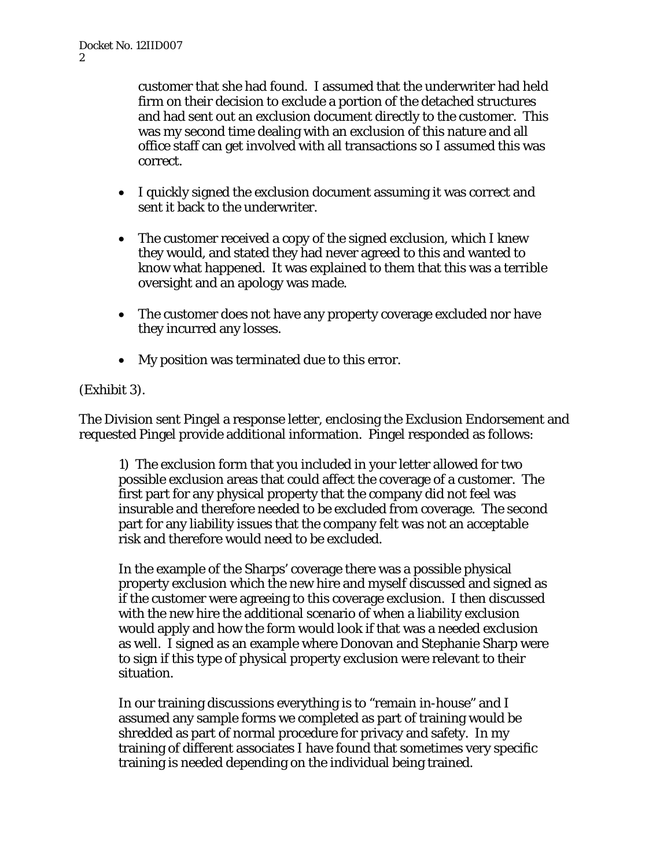customer that she had found. I assumed that the underwriter had held firm on their decision to exclude a portion of the detached structures and had sent out an exclusion document directly to the customer. This was my second time dealing with an exclusion of this nature and all office staff can get involved with all transactions so I assumed this was correct.

- I quickly signed the exclusion document assuming it was correct and sent it back to the underwriter.
- The customer received a copy of the signed exclusion, which I knew they would, and stated they had never agreed to this and wanted to know what happened. It was explained to them that this was a terrible oversight and an apology was made.
- The customer does not have any property coverage excluded nor have they incurred any losses.
- My position was terminated due to this error.

# (Exhibit 3).

The Division sent Pingel a response letter, enclosing the Exclusion Endorsement and requested Pingel provide additional information. Pingel responded as follows:

1) The exclusion form that you included in your letter allowed for two possible exclusion areas that could affect the coverage of a customer. The first part for any physical property that the company did not feel was insurable and therefore needed to be excluded from coverage. The second part for any liability issues that the company felt was not an acceptable risk and therefore would need to be excluded.

In the example of the Sharps' coverage there was a possible physical property exclusion which the new hire and myself discussed and signed as if the customer were agreeing to this coverage exclusion. I then discussed with the new hire the additional scenario of when a liability exclusion would apply and how the form would look if that was a needed exclusion as well. I signed as an example where Donovan and Stephanie Sharp were to sign if this type of physical property exclusion were relevant to their situation.

In our training discussions everything is to "remain in-house" and I assumed any sample forms we completed as part of training would be shredded as part of normal procedure for privacy and safety. In my training of different associates I have found that sometimes very specific training is needed depending on the individual being trained.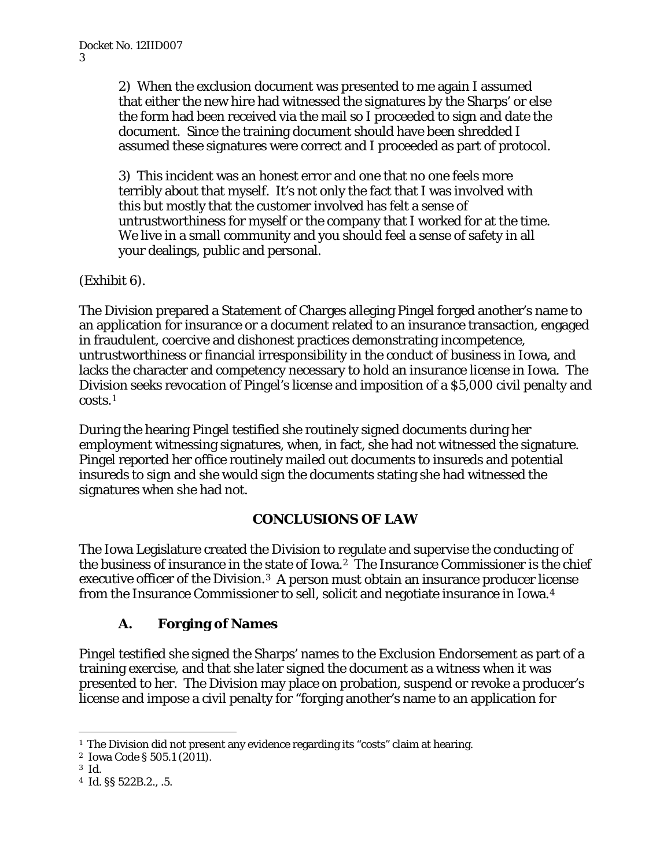2) When the exclusion document was presented to me again I assumed that either the new hire had witnessed the signatures by the Sharps' or else the form had been received via the mail so I proceeded to sign and date the document. Since the training document should have been shredded I assumed these signatures were correct and I proceeded as part of protocol.

3) This incident was an honest error and one that no one feels more terribly about that myself. It's not only the fact that I was involved with this but mostly that the customer involved has felt a sense of untrustworthiness for myself or the company that I worked for at the time. We live in a small community and you should feel a sense of safety in all your dealings, public and personal.

(Exhibit 6).

The Division prepared a Statement of Charges alleging Pingel forged another's name to an application for insurance or a document related to an insurance transaction, engaged in fraudulent, coercive and dishonest practices demonstrating incompetence, untrustworthiness or financial irresponsibility in the conduct of business in Iowa, and lacks the character and competency necessary to hold an insurance license in Iowa. The Division seeks revocation of Pingel's license and imposition of a \$5,000 civil penalty and costs.[1](#page-2-0)

During the hearing Pingel testified she routinely signed documents during her employment witnessing signatures, when, in fact, she had not witnessed the signature. Pingel reported her office routinely mailed out documents to insureds and potential insureds to sign and she would sign the documents stating she had witnessed the signatures when she had not.

# **CONCLUSIONS OF LAW**

The Iowa Legislature created the Division to regulate and supervise the conducting of the business of insurance in the state of Iowa.[2](#page-2-1) The Insurance Commissioner is the chief executive officer of the Division.[3](#page-2-2) A person must obtain an insurance producer license from the Insurance Commissioner to sell, solicit and negotiate insurance in Iowa.[4](#page-2-3)

# **A. Forging of Names**

Pingel testified she signed the Sharps' names to the Exclusion Endorsement as part of a training exercise, and that she later signed the document as a witness when it was presented to her. The Division may place on probation, suspend or revoke a producer's license and impose a civil penalty for "forging another's name to an application for

<span id="page-2-0"></span><sup>&</sup>lt;sup>1</sup> The Division did not present any evidence regarding its "costs" claim at hearing.

<span id="page-2-1"></span><sup>2</sup> Iowa Code § 505.1 (2011).

<span id="page-2-2"></span><sup>3</sup> *Id.*

<span id="page-2-3"></span><sup>4</sup> *Id.* §§ 522B.2., .5.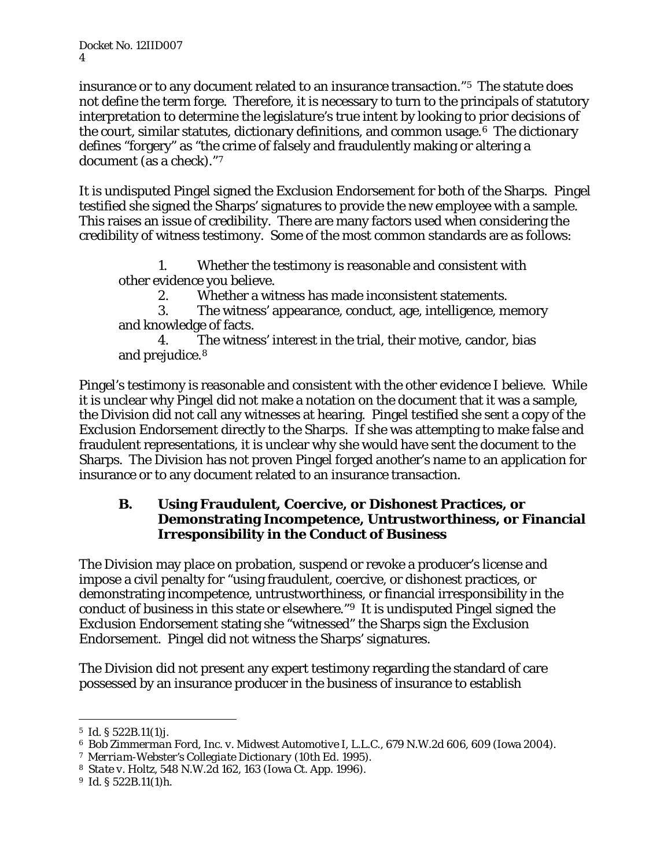Docket No. 12IID007 4

insurance or to any document related to an insurance transaction."[5](#page-3-0) The statute does not define the term forge. Therefore, it is necessary to turn to the principals of statutory interpretation to determine the legislature's true intent by looking to prior decisions of the court, similar statutes, dictionary definitions, and common usage.[6](#page-3-1) The dictionary defines "forgery" as "the crime of falsely and fraudulently making or altering a document (as a check)."[7](#page-3-2)

It is undisputed Pingel signed the Exclusion Endorsement for both of the Sharps. Pingel testified she signed the Sharps' signatures to provide the new employee with a sample. This raises an issue of credibility. There are many factors used when considering the credibility of witness testimony. Some of the most common standards are as follows:

1. Whether the testimony is reasonable and consistent with other evidence you believe.

2. Whether a witness has made inconsistent statements.

3. The witness' appearance, conduct, age, intelligence, memory and knowledge of facts.

The witness' interest in the trial, their motive, candor, bias and prejudice.[8](#page-3-3)

Pingel's testimony is reasonable and consistent with the other evidence I believe. While it is unclear why Pingel did not make a notation on the document that it was a sample, the Division did not call any witnesses at hearing. Pingel testified she sent a copy of the Exclusion Endorsement directly to the Sharps. If she was attempting to make false and fraudulent representations, it is unclear why she would have sent the document to the Sharps. The Division has not proven Pingel forged another's name to an application for insurance or to any document related to an insurance transaction.

#### **B. Using Fraudulent, Coercive, or Dishonest Practices, or Demonstrating Incompetence, Untrustworthiness, or Financial Irresponsibility in the Conduct of Business**

The Division may place on probation, suspend or revoke a producer's license and impose a civil penalty for "using fraudulent, coercive, or dishonest practices, or demonstrating incompetence, untrustworthiness, or financial irresponsibility in the conduct of business in this state or elsewhere."[9](#page-3-4) It is undisputed Pingel signed the Exclusion Endorsement stating she "witnessed" the Sharps sign the Exclusion Endorsement. Pingel did not witness the Sharps' signatures.

The Division did not present any expert testimony regarding the standard of care possessed by an insurance producer in the business of insurance to establish

<span id="page-3-1"></span><span id="page-3-0"></span><sup>5</sup>*Id.* § 522B.11(1)*<sup>j</sup>*. 6 *Bob Zimmerman Ford, Inc. v. Midwest Automotive I, L.L.C.*, 679 N.W.2d 606, 609 (Iowa 2004).

<span id="page-3-2"></span><sup>7</sup> *Merriam-Webster's Collegiate Dictionary* (10th Ed. 1995).

<span id="page-3-3"></span><sup>8</sup> *State v. Holtz*, 548 N.W.2d 162, 163 (Iowa Ct. App. 1996).

<span id="page-3-4"></span><sup>9</sup> *Id.* § 522B.11(1)*h*.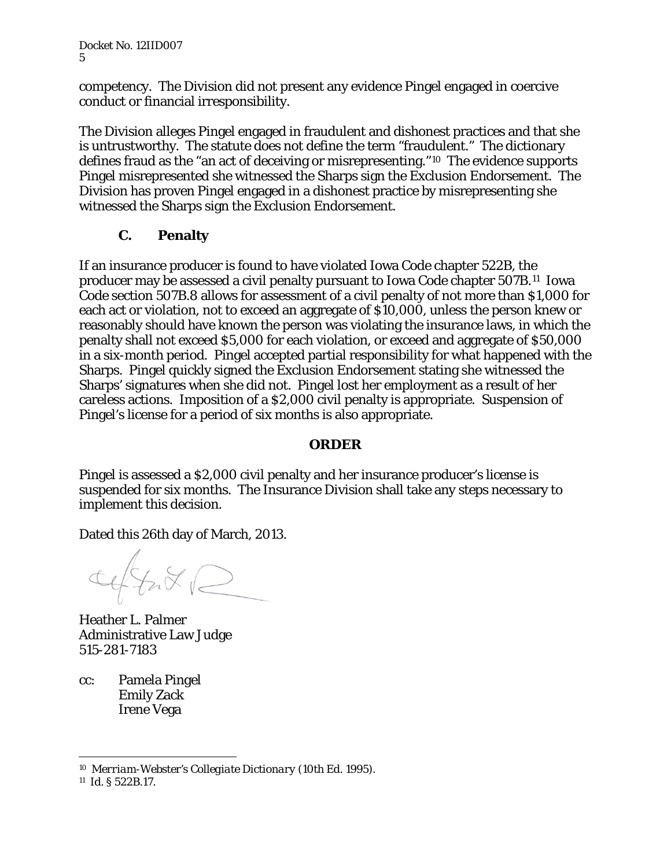Docket No. 12IID007 5

competency. The Division did not present any evidence Pingel engaged in coercive conduct or financial irresponsibility.

The Division alleges Pingel engaged in fraudulent and dishonest practices and that she is untrustworthy. The statute does not define the term "fraudulent." The dictionary defines fraud as the "an act of deceiving or misrepresenting."[10](#page-4-0) The evidence supports Pingel misrepresented she witnessed the Sharps sign the Exclusion Endorsement. The Division has proven Pingel engaged in a dishonest practice by misrepresenting she witnessed the Sharps sign the Exclusion Endorsement.

# **C. Penalty**

If an insurance producer is found to have violated Iowa Code chapter 522B, the producer may be assessed a civil penalty pursuant to Iowa Code chapter 507B.[11](#page-4-1) Iowa Code section 507B.8 allows for assessment of a civil penalty of not more than \$1,000 for each act or violation, not to exceed an aggregate of \$10,000, unless the person knew or reasonably should have known the person was violating the insurance laws, in which the penalty shall not exceed \$5,000 for each violation, or exceed and aggregate of \$50,000 in a six-month period. Pingel accepted partial responsibility for what happened with the Sharps. Pingel quickly signed the Exclusion Endorsement stating she witnessed the Sharps' signatures when she did not. Pingel lost her employment as a result of her careless actions. Imposition of a \$2,000 civil penalty is appropriate. Suspension of Pingel's license for a period of six months is also appropriate.

#### **ORDER**

Pingel is assessed a \$2,000 civil penalty and her insurance producer's license is suspended for six months. The Insurance Division shall take any steps necessary to implement this decision.

Dated this 26th day of March, 2013.

Ceffax E

Heather L. Palmer Administrative Law Judge 515-281-7183

cc: Pamela Pingel Emily Zack Irene Vega

<span id="page-4-0"></span> <sup>10</sup> *Merriam-Webster's Collegiate Dictionary* (10th Ed. 1995).

<span id="page-4-1"></span><sup>11</sup> *Id.* § 522B.17.